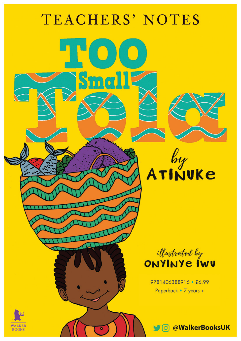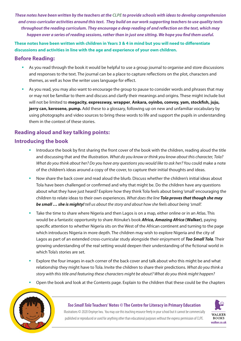*These notes have been written by the teachers at the [CLPE](https://clpe.org.uk/) to provide schools with ideas to develop comprehension and cross-curricular activities around this text. They build on our work supporting teachers to use quality texts throughout the reading curriculum. They encourage a deep reading of and reflection on the text, which may happen over a series of reading sessions, rather than in just one sitting. We hope you find them useful.*

**These notes have been written with children in Years 3 & 4 in mind but you will need to differentiate discussions and activities in line with the age and experience of your own children.**

## **Before Reading:**

- As you read through the book it would be helpful to use a group journal to organise and store discussions and responses to the text. The journal can be a place to capture reflections on the plot, characters and themes, as well as how the writer uses language for effect.
- As you read, you may also want to encourage the group to pause to consider words and phrases that may or may not be familiar to them and discuss and clarify their meanings and origins. These might include but will not be limited to **megacity, expressway, wrapper**, **Ankara, oyinbo, convoy, yam, stockfish, juju, jerry can, kerosene, pump.** Add these to a glossary, following up on new and unfamiliar vocabulary by using photographs and video sources to bring these words to life and support the pupils in understanding them in the context of these stories.

# **Reading aloud and key talking points:**

# **Introducing the book**

- Introduce the book by first sharing the front cover of the book with the children, reading aloud the title and discussing that and the illustration. *What do you know or think you know about this character, Tola? What do you think about her? Do you have any questions you would like to ask her?* You could make a note of the children's ideas around a copy of the cover, to capture their initial thoughts and ideas.
- Now share the back cover and read aloud the blurb. Discuss whether the children's initial ideas about Tola have been challenged or confirmed and why that might be. Do the children have any questions about what they have just heard? Explore how they think Tola feels about being 'small' encouraging the children to relate ideas to their own experiences. *What does the line Tola proves that though she may be small … she is mighty! tell us about the story and about how she feels about being 'small'.*
- Take the time to share where Nigeria and then Lagos is on a map, either online or in an Atlas. This would be a fantastic opportunity to share Atinuke's book *Africa, Amazing Africa* **(Walker)**, paying specific attention to whether Nigeria sits on the West of the African continent and turning to the page which introduces Nigeria in more depth. The children may wish to explore Nigeria and the city of Lagos as part of an extended cross-curricular study alongside their enjoyment of *Too Small Tola.* Their growing understanding of the real setting would deepen their understanding of the fictional world in which Tola's stories are set.
- Explore the four images in each corner of the back cover and talk about who this might be and what relationship they might have to Tola. Invite the children to share their predictions. *What do you think a story with this title and featuring these characters might be about? What do you think might happen?*
- Open the book and look at the Contents page. Explain to the children that these could be the chapters



## *Too Small Tola* **Teachers' Notes** *©* **The Centre for Literacy in Primary Education**

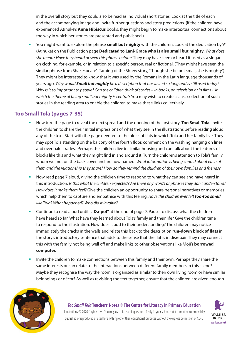in the overall story but they could also be read as individual short stories. Look at the title of each and the accompanying image and invite further questions and story predictions. (If the children have experienced Atinuke's **Anna Hibiscus** books, they might begin to make intertextual connections about the way in which her stories are presented and published.)

 You might want to explore the phrase **small but mighty** with the children. Look at the dedication by 'A' (Atinuke) on the Publication page **Dedicated to Lani-Grace who is also small but mighty.** *What does she mean? Have they heard or seen this phrase before?* They may have seen or heard it used as a slogan on clothing, for example, or in relation to a specific person, real or fictional. (They might have seen the similar phrase from Shakespeare's Taming of the Shrew story, 'Though she be but small, she is mighty.') They might be interested to know that it was used by the Romans in the Latin language thousands of years ago. *Why would Small but mighty be a description that has lasted so long and is still used today? Why is it so important to people? Can the children think of stories – in books, on television or in films - in which the theme of being small but mighty is central?* You may wish to create a class collection of such stories in the reading area to enable the children to make these links collectively.

## **Too Small Tola (pages 7-35)**

- Now turn the page to reveal the next spread and the opening of the first story, **Too Small Tola**. Invite the children to share their initial impressions of what they see in the illustrations before reading aloud any of the text. Start with the page devoted to the block of flats in which Tola and her family live. They may spot Tola standing on the balcony of the fourth floor, comment on the washing hanging on lines and over balustrades. Perhaps the children live in similar housing and can talk about the features of blocks like this and what they might find in and around it. Turn the children's attention to Tola's family whom we met on the back cover and are now named. *What information is being shared about each of them and the relationship they share? How do they remind the children of their own families and friends?*
- Now read page 7 aloud, giving the children time to respond to what they can see and have heard in this introduction. *Is this what the children expected? Are there any words or phrases they don't understand? How does it make them feel?* Give the children an opportunity to share personal narratives or memories which help them to capture and empathise with this feeling. *Have the children ever felt too-too small like Tola? What happened? Who did it involve?*
- Continue to read aloud until …**Da-po!"** at the end of page 9. Pause to discuss what the children have heard so far. What have they learned about Tola's family and their life? Give the children time to respond to the illustration. How does it add to their understanding? The children may notice immediately the cracks in the walls and relate this back to the description **run-down block of flats** in the story's introductory sentence that adds to the sense that the flat is in disrepair. They may connect this with the family not being well off and make links to other observations like Moji's **borrowed computer.**
- Invite the children to make connections between this family and their own. Perhaps they share the same interests or can relate to the interactions between different family members in this scene? Maybe they recognise the way the room is organised as similar to their own living room or have similar belongings or décor? As well as revisiting the text together, ensure that the children are given enough



#### *Too Small Tola* **Teachers' Notes** *©* **The Centre for Literacy in Primary Education**

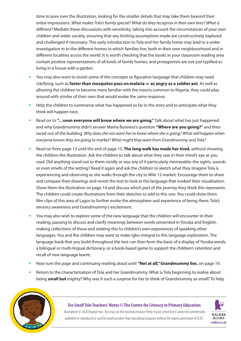time to pore over the illustration, looking for the smaller details that may take them beyond their initial impressions. *What makes Tola's family special? What do they recognise in their own lives? What is different?* Mediate these discussions with sensitivity, taking into account the circumstances of your own children and wider society, ensuring that any limiting assumptions made are constructively explored and challenged if necessary. This early introduction to Tola and her family home may lead to a wider investigation in to the different homes in which families live, both in their own neighbourhood and in different localities across the world. It is worth checking that the books in your classroom reading area contain positive representations of all kinds of family homes, and protagonists are not just typified as living in a house with a garden.

- You may also want to revisit some of the concepts or figurative language that children may need clarifying, such as **faster than mosquitos pass on malaria** or **as angry as a soldier ant**. As well as allowing the children to become more familiar with the insects common to Nigeria, they could play around with similes of their own that would evoke the same response.
- Help the children to summarise what has happened so far in the story and to anticipate what they think will happen next.
- Read on to **"…soon everyone will know where we are going."** Talk about what has just happened and why Grandmummy didn't answer Mama Business's question **"Where are you going?"** and then raced out of the building. *Why does she not want her to know where she is going? What will happen when everyone knows they are going to market? What might they want from Grandmummy and Tola?*
- Read on from page 13 until the end of page 15, **The long walk has made her tired,** without showing the children the illustration. Ask the children to talk about what they saw in their mind's eye as you read. Did anything stand out to them vividly or was any of it particularly memorable; the sights, sounds or even smells of the setting? Read it again and ask the children to sketch what they imagine Tola is experiencing and observing as she walks through the city to Mile 12 market. Encourage them to share and compare their drawings and revisit the text to look at the language that evoked their visualisation. Show them the illustration on page 14 and discuss which part of the journey they think this represents. The children could create illustrations from their sketches to add to this one. You could show them film clips of this area of Lagos to further evoke the atmosphere and experience of being there; Tola's sensory awareness and Grandmummy's excitement.
- You may also wish to explore some of the new language that the children will encounter in their reading, pausing to discuss and clarify meanings between words presented in Yoruba and English, making collections of these and relating this to children's own experiences of speaking other languages. You and the children may want to make Igbo integral to this language exploration. The language bank that you build throughout the text can then form the basis of a display of Yoruba words, a bilingual or multi-lingual dictionary, or a book-based game to support the children's retention and recall of new language learnt.
- Now turn the page and continuing reading aloud until **"Not at all," Grandmummy lies.** on page 19.
- Return to the characterisation of Tola and her Grandmummy. What is Tola beginning to realise about being **small but** mighty? Why was it such a surprise for her to think of Grandmummy as small? To help



## *Too Small Tola* **Teachers' Notes** *©* **The Centre for Literacy in Primary Education**

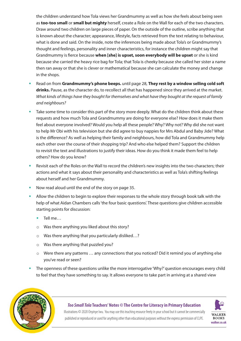the children understand how Tola views her Grandmummy as well as how she feels about being seen as **too-too small** or **small but mighty** herself, create a Role on the Wall for each of the two characters. Draw around two children on large pieces of paper. On the outside of the outline, scribe anything that is known about the character; appearance, lifestyle, facts retrieved from the text relating to behaviour, what is done and said. On the inside, note the inferences being made about Tola's or Grandmummy's thought and feelings, personality and inner characteristics, for instance the children might say that Grandmummy is fierce because **when [she] is upset, soon everybody will be upset** or she is kind because she carried the heavy rice bag for Tola; that Tola is cheeky because she called her sister a name then ran away or that she is clever or mathematical because she can calculate the money and change in the shops.

- Read on from **Grandmummy's phone beeps.** until page 28, **They rest by a window selling cold soft**  drinks. Pause, as the character do, to recollect all that has happened since they arrived at the market. *What kinds of things have they bought for themselves and what have they bought at the request of family and neighbours?*
- Take some time to consider this part of the story more deeply. What do the children think about these requests and how much Tola and Grandmummy are doing for everyone else? How does it make them feel about everyone involved? Would you help all these people? Why? Why not? Why did she not want to help Mr Obi with his television but she did agree to buy nappies for Mrs Abdul and Baby Jide? What is the difference? As well as helping their family and neighbours, how did Tola and Grandmummy help each other over the course of their shopping trip? And who else helped them? Support the children to revisit the text and illustrations to justify their ideas. How do you think it made them feel to help others? How do you know?
- Revisit each of the Roles on the Wall to record the children's new insights into the two characters; their actions and what it says about their personality and characteristics as well as Tola's shifting feelings about herself and her Grandmummy.
- Now read aloud until the end of the story on page 35.
- **Allow the children to begin to explore their responses to the whole story through book talk with the** help of what Aidan Chambers calls 'the four basic questions'. These questions give children accessible starting points for discussion:
	- Tell me...
	- o Was there anything you liked about this story?
	- o Was there anything that you particularly disliked…?
	- o Was there anything that puzzled you?
	- o Were there any patterns … any connections that you noticed? Did it remind you of anything else you've read or seen?
- The openness of these questions unlike the more interrogative 'Why?' question encourages every child to feel that they have something to say. It allows everyone to take part in arriving at a shared view



#### *Too Small Tola* **Teachers' Notes** *©* **The Centre for Literacy in Primary Education**

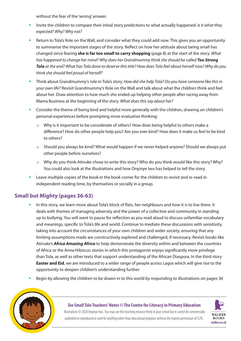without the fear of the 'wrong' answer.

- Invite the children to compare their initial story predictions to what actually happened. *Is it what they expected? Why? Why not?*
- Return to Tola's Role on the Wall, and consider what they could add now. This gives you an opportunity to summarise the important stages of the story. Reflect on how her attitude about being small has changed since fearing **she is far too small to carry shopping** (page 8) at the start of the story. *What has happened to change her mind? Why does her Grandmummy think she should be called Too Strong Tola at the end? What has Tola done to deserve this title? How does Tola feel about herself now? Why do you think she should feel proud of herself?*
- Think about Grandmummy's role in Tola's story. *How did she help Tola? Do you have someone like this in your own life?* Revisit Grandmummy's Role on the Wall and talk about what the children think and feel about her. Draw attention to how much she ended up helping other people after racing away from Mama Business at the beginning of the story. *What does this say about her?*
- Consider the theme of being kind and helpful more generally with the children, drawing on children's personal experiences before prompting more evaluative thinking:
	- $\circ$  Why is it important to be considerate of others? How does being helpful to others make a difference? How do other people help you? Are you ever kind? How does it make us feel to be kind to others?
	- $\circ$  Should you always be kind? What would happen if we never helped anyone? Should we always put other people before ourselves?
	- $\circ$  Why do you think Atinuke chose to write this story? Who do you think would like this story? Why? You could also look at the illustrations and how Onyinye Iwu has helped to tell the story.
- Leave multiple copies of the book in the book corner for the children to revisit and re-read in independent reading time, by themselves or socially in a group.

# **Small but Mighty (pages 36-63)**

- In this story, we learn more about Tola's block of flats, her neighbours and how it is to live there. It deals with themes of managing adversity and the power of a collective and community in standing up to bullying. You will want to pause for reflection as you read aloud to discuss unfamiliar vocabulary and meanings, specific to Tola's life and world. Continue to mediate these discussions with sensitivity, taking into account the circumstances of your own children and wider society, ensuring that any limiting assumptions made are constructively explored and challenged, if necessary. Revisit books like Atinuke's *Africa Amazing Africa* to help demonstrate the diversity within and between the countries of Africa or the Anna Hibiscus stories in which this protagonist enjoys significantly more privilege than Tola, as well as other texts that support understanding of the African Diaspora. In the third story **Easter and Eid**, we are introduced to a wider range of people across Lagos which will give rise to the opportunity to deepen children's understanding further.
- Begin by allowing the children to be drawn in to this world by responding to illustrations on pages 36



## *Too Small Tola* **Teachers' Notes** *©* **The Centre for Literacy in Primary Education**

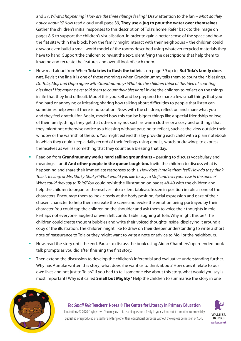and 37. *What is happening? How are the three siblings feeling?* Draw attention to the fan – *what do they notice about it?* Now read aloud until page 39, **They use a jug to pour the water over themselves.** Gather the children's initial responses to this description of Tola's home. Refer back to the image on pages 8-9 to support the children's visualisation. In order to gain a better sense of the space and how the flat sits within the block; how the family might interact with their neighbours – the children could draw or even build a small world model of the rooms described using whatever recycled materials they have to hand. Support the children to revisit the text, identifying the descriptions that help them to imagine and recreate the features and overall look of each room.

- Now read aloud from When **Tola tries to flush the toilet**… on page 39 up to, **But Tola's family does not**. Revisit the line It is one of those mornings when Grandmummy tells them to count their blessings. *Do Tola, Moji and Dapo agree with Grandmummy? What do the children think of this idea of counting blessings? Has anyone ever told them to count their blessings?* Invite the children to reflect on the things in life that they find difficult. Model this yourself and be prepared to share a few small things that you find hard or annoying or irritating; sharing how talking about difficulties to people that listen can sometimes help even if there is no solution. Now, with the children, reflect on and share what you and they feel grateful for. Again, model how this can be bigger things like a special friendship or love of their family, things they get that others may not such as warm clothes or a cosy bed or things that they might not otherwise notice as a blessing without pausing to reflect, such as the view outside their window or the warmth of the sun. You might extend this by providing each child with a plain notebook in which they could keep a daily record of their feelings using emojis, words or drawings to express themselves as well as something that they count as a blessing that day.
- Read on from **Grandmummy works hard selling groundnuts** pausing to discuss vocabulary and meanings – until **And other people in the queue laugh too.** Invite the children to discuss what is happening and share their immediate responses to this. *How does it make them feel? How do they think Tola is feeling; or Mrs Shaky-Shaky? What would you like to say to Moji and everyone else in the queue? What could they say to Tola?* You could revisit the illustration on pages 48-49 with the children and help the children to organise themselves into a silent tableau, frozen in position in role as one of the characters. Encourage them to look closely at the body position, facial expression and gaze of their chosen character to help them recreate the scene and evoke the emotion being portrayed by their character. You could tap the children on the shoulder and ask them to voice their thoughts in role. Perhaps not everyone laughed or even felt comfortable laughing at Tola. Why might this be? The children could create thought bubbles and write their voiced thoughts inside, displaying it around a copy of the illustration. The children might like to draw on their deeper understanding to write a short note of reassurance to Tola or they might want to write a note or advice to Moji or the neighbours.
- Now, read the story until the end. Pause to discuss the book using Aidan Chambers' open-ended book talk prompts as you did after finishing the first story.
- Then extend the discussion to develop the children's inferential and evaluative understanding further. Why has Atinuke written this story; what does she want us to think about? How does it relate to our own lives and not just to Tola's? If you had to tell someone else about this story, what would you say is most important? Why is it called **Small but Mighty**? Help the children to summarise the story in one



#### *Too Small Tola* **Teachers' Notes** *©* **The Centre for Literacy in Primary Education**

WALKER **BOOKS walker.co.uk**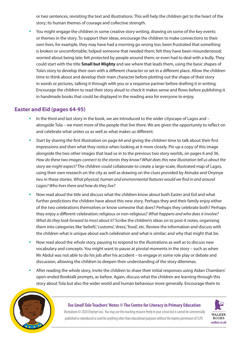or two sentences, revisiting the text and illustrations. This will help the children get to the heart of the story; its human themes of courage and collective strength.

 You might engage the children in some creative story writing, drawing on some of the key events or themes in the story. To support their ideas, encourage the children to make connections to their own lives, for example, they may have had a morning go wrong too; been frustrated that something is broken or uncomfortable; helped someone that needed them; felt they have been misunderstood; worried about being late; felt protected by people around them; or even had to deal with a bully. They could start with the title **Small but Mighty** and see where that leads them, using the basic shapes of Tola's story to develop their own with a different character or set in a different place. Allow the children time to think about and develop their main character before plotting out the shape of their story in words or pictures, talking it through with you or a response partner before drafting it in writing. Encourage the children to read their story aloud to check it makes sense and flows before publishing it in handmade books that could be displayed in the reading area for everyone to enjoy.

## **Easter and Eid (pages 64-95)**

- In the third and last story in the book, we are introduced to the wider cityscape of Lagos and alongside Tola – we meet more of the people that live there. We are given the opportunity to reflect on and celebrate what unites us as well as what makes us different.
- Start by sharing the first illustration on page 64 and giving the children time to talk about their first impressions and then what they notice when looking at it more closely. Pin up a copy of this image alongside the two other images that lead us in to the previous two story worlds, on pages 6 and 36. *How do these two images connect to the stories they know? What does this new illustration tell us about the story we might expect?* The children could collaborate to create a large-scale, illustrated map of Lagos, using their own research on the city as well as drawing on the clues provided by Atinuke and Onyinye Iwu in these stories. *What physical, human and environmental features would we find in and around Lagos? Who lives there and how do they live?*
- Now read aloud the title and discuss what the children know about both Easter and Eid and what further predictions the children have about this new story. Perhaps they and their family enjoy either of the two celebrations themselves or know someone that does? Perhaps they celebrate both? Perhaps they enjoy a different celebration; religious or non-religious? *What happens and who does it involve? What do they look forward to most about it?* Scribe the children's ideas on to post-it notes, organising them into categories like 'beliefs', 'customs', 'dress', 'food', etc. Review the information and discuss with the children what is unique about each celebration and what is similar; and why that might that be.
- Now read aloud the whole story, pausing to respond to the illustrations as well as to discuss new vocabulary and concepts. You might want to pause at pivotal moments in the story – such as when Mr Abdul was not able to do his job after his accident – to engage in some role play or debate and discussion, allowing the children to deepen their understanding of the story dilemmas.
- After reading the whole story, invite the children to share their initial responses using Aidan Chambers' open-ended Booktalk prompts, as before. Again, discuss what the children are learning through this story about Tola but also the wider world and human behaviour more generally. Encourage them to



## *Too Small Tola* **Teachers' Notes** *©* **The Centre for Literacy in Primary Education**

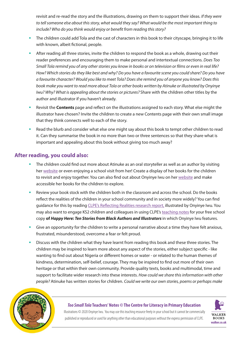revisit and re-read the story and the illustrations, drawing on them to support their ideas. *If they were to tell someone else about this story, what would they say? What would be the most important thing to include? Who do you think would enjoy or benefit from reading this story?*

- The children could add Tola and the cast of characters in this book to their cityscape, bringing it to life with known, albeit fictional, people.
- After reading all three stories, invite the children to respond the book as a whole, drawing out their reader preferences and encouraging them to make personal and intertextual connections. *Does Too Small Tola remind you of any other stories you know in books or on television or films or even in real life? How? Which stories do they like best and why? Do you have a favourite scene you could share? Do you have a favourite character? Would you like to meet Tola? Does she remind you of anyone you know? Does this book make you want to read more about Tola or other books written by Atinuke or illustrated by Onyinye Iwu? Why? What is appealing about the stories or pictures?* Share with the children other titles by the author and illustrator if you haven't already.
- Revisit the **Contents** page and reflect on the illustrations assigned to each story. What else might the illustrator have chosen? Invite the children to create a new Contents page with their own small image that they think connects well to each of the story.
- Read the blurb and consider what else one might say about this book to tempt other children to read it. Can they summarise the book in no more than two or three sentences so that they share what is important and appealing about this book without giving too much away?

# **After reading, you could also:**

- The children could find out more about Atinuke as an oral storyteller as well as an author by visiting her [website](http://atinuke-author.weebly.com/about-atinuke.html) or even enjoying a school visit from her! Create a display of her books for the children to revisit and enjoy together. You can also find out about Onyinye Iwu on her [website](https://www.onyinyeiwu.com/) and make accessible her books for the children to explore.
- Review your book stock with the children both in the classroom and across the school. Do the books reflect the realities of the children in your school community and in society more widely? You can find guidance for this by reading [CLPE's Reflecting Realities research report,](https://clpe.org.uk/research/reflecting-realities) illustrated by Onyinye Iwu. You may also want to engage KS2 children and colleagues in using CLPE's [teaching notes](https://clpe.org.uk/news/free-copy-happy-here-all-primary-schools-and-free-teaching-resources-and-cpd-partnership) for your free school copy **of** *Happy Here: Ten Stories from Black Authors and Illustrators* in which Onyinye Iwu features.
- Give an opportunity for the children to write a personal narrative about a time they have felt anxious, frustrated, misunderstood, overcome a fear or felt proud.
- Discuss with the children what they have learnt from reading this book and these three stories. The children may be inspired to learn more about any aspect of the stories, either subject specific - like wanting to find out about Nigeria or different homes or water - or related to the human themes of kindness, determination, self-belief, courage. They may be inspired to find out more of their own heritage or that within their own community. Provide quality texts, books and multimodal, time and support to facilitate wider research into these interests. *How could we share this information with other people?* Atinuke has written stories for children. *Could we write our own stories, poems or perhaps make*



## *Too Small Tola* **Teachers' Notes** *©* **The Centre for Literacy in Primary Education**